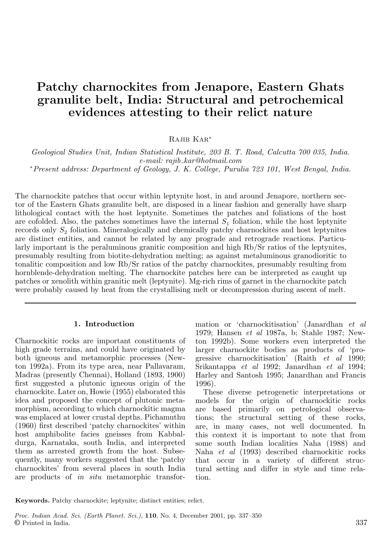# Patchy charnockites from Jenapore, Eastern Ghats granulite belt, India: Structural and petrochemical evidences attesting to their relict nature

Rajib Kar<sup>∗</sup>

*Geological Studies Unit, Indian Statistical Institute, 203 B. T. Road, Calcutta 700 035, India. e-mail: rajib*−*kar@hotmail.com*

<sup>∗</sup>*Present address: Department of Geology, J. K. College, Purulia 723 101, West Bengal, India.*

The charnockite patches that occur within leptynite host, in and around Jenapore, northern sector of the Eastern Ghats granulite belt, are disposed in a linear fashion and generally have sharp lithological contact with the host leptynite. Sometimes the patches and foliations of the host are cofolded. Also, the patches sometimes have the internal  $S_1$  foliation, while the host leptynite records only  $S_2$  foliation. Mineralogically and chemically patchy charnockites and host leptynites are distinct entities, and cannot be related by any prograde and retrograde reactions. Particularly important is the peraluminous granitic composition and high Rb/Sr ratios of the leptynites, presumably resulting from biotite-dehydration melting; as against metaluminous granodioritic to tonalitic composition and low Rb/Sr ratios of the patchy charnockites, presumably resulting from hornblende-dehydration melting. The charnockite patches here can be interpreted as caught up patches or xenolith within granitic melt (leptynite). Mg-rich rims of garnet in the charnockite patch were probably caused by heat from the crystallising melt or decompression during ascent of melt.

# 1. Introduction

Charnockitic rocks are important constituents of high grade terrains, and could have originated by both igneous and metamorphic processes (Newton 1992a). From its type area, near Pallavaram, Madras (presently Chennai), Holland (1893, 1900) first suggested a plutonic igneous origin of the charnockite. Later on, Howie (1955) elaborated this idea and proposed the concept of plutonic metamorphism, according to which charnockitic magma was emplaced at lower crustal depths. Pichamuthu (1960) first described 'patchy charnockites' within host amphibolite facies gneisses from Kabbaldurga, Karnataka, south India, and interpreted them as arrested growth from the host. Subsequently, many workers suggested that the 'patchy charnockites' from several places in south India are products of *in situ* metamorphic transformation or 'charnockitisation' (Janardhan *et al* 1979; Hansen *et al* 1987a, b; Stahle 1987; Newton 1992b). Some workers even interpreted the larger charnockite bodies as products of 'progressive charnockitisation' (Raith *et al* 1990; Srikantappa *et al* 1992; Janardhan *et al* 1994; Harley and Santosh 1995; Janardhan and Francis 1996).

These diverse petrogenetic interpretations or models for the origin of charnockitic rocks are based primarily on petrological observations; the structural setting of these rocks, are, in many cases, not well documented. In this context it is important to note that from some south Indian localities Naha (1988) and Naha *et al* (1993) described charnockitic rocks that occur in a variety of different structural setting and differ in style and time relation.

Keywords. Patchy charnockite; leptynite; distinct entities; relict.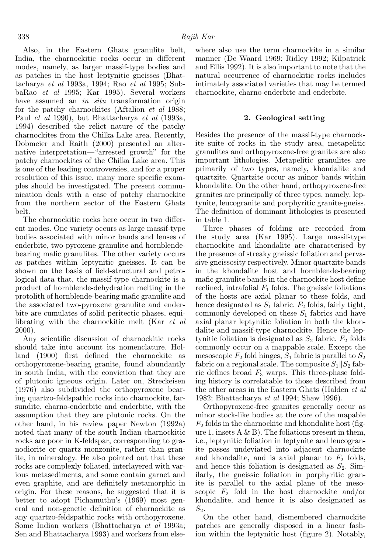Also, in the Eastern Ghats granulite belt, India, the charnockitic rocks occur in different modes, namely, as larger massif-type bodies and as patches in the host leptynitic gneisses (Bhattacharya *et al* 1993a, 1994; Rao *et al* 1995; SubbaRao *et al* 1995; Kar 1995). Several workers have assumed an *in situ* transformation origin for the patchy charnockites (Aftalion *et al* 1988; Paul *et al* 1990), but Bhattacharya *et al* (1993a, 1994) described the relict nature of the patchy charnockites from the Chilka Lake area. Recently, Dobmeier and Raith (2000) presented an alternative interpretation—"arrested growth" for the patchy charnockites of the Chilka Lake area. This is one of the leading controversies, and for a proper resolution of this issue, many more specific examples should be investigated. The present communication deals with a case of patchy charnockite from the northern sector of the Eastern Ghats belt.

The charnockitic rocks here occur in two different modes. One variety occurs as large massif-type bodies associated with minor bands and lenses of enderbite, two-pyroxene granulite and hornblendebearing mafic granulites. The other variety occurs as patches within leptynitic gneisses. It can be shown on the basis of field-structural and petrological data that, the massif-type charnockite is a product of hornblende-dehydration melting in the protolith of hornblende-bearing mafic granulite and the associated two-pyroxene granulite and enderbite are cumulates of solid peritectic phases, equilibrating with the charnockitic melt (Kar *et al* 2000).

Any scientific discussion of charnockitic rocks should take into account its nomenclature. Holland (1900) first defined the charnockite as orthopyroxene-bearing granite, found abundantly in south India, with the conviction that they are of plutonic igneous origin. Later on, Streckeisen (1976) also subdivided the orthopyroxene bearing quartzo-feldspathic rocks into charnockite, farsundite, charno-enderbite and enderbite, with the assumption that they are plutonic rocks. On the other hand, in his review paper Newton (1992a) noted that many of the south Indian charnockitic rocks are poor in K-feldspar, corresponding to granodiorite or quartz monzonite, rather than granite, in mineralogy. He also pointed out that these rocks are complexly foliated, interlayered with various metasediments, and some contain garnet and even graphite, and are definitely metamorphic in origin. For these reasons, he suggested that it is better to adopt Pichamuthu's (1969) most general and non-genetic definition of charnockite as any quartzo-feldspathic rocks with orthopyroxene. Some Indian workers (Bhattacharya *et al* 1993a; Sen and Bhattacharya 1993) and workers from else-

where also use the term charnockite in a similar manner (De Waard 1969; Ridley 1992; Kilpatrick and Ellis 1992). It is also important to note that the natural occurrence of charnockitic rocks includes intimately associated varieties that may be termed charnockite, charno-enderbite and enderbite.

## 2. Geological setting

Besides the presence of the massif-type charnockite suite of rocks in the study area, metapelitic granulites and orthopyroxene-free granites are also important lithologies. Metapelitic granulites are primarily of two types, namely, khondalite and quartzite. Quartzite occur as minor bands within khondalite. On the other hand, orthopyroxene-free granites are principally of three types, namely, leptynite, leucogranite and porphyritic granite-gneiss. The definition of dominant lithologies is presented in table 1.

Three phases of folding are recorded from the study area (Kar 1995). Large massif-type charnockite and khondalite are characterised by the presence of streaky gneissic foliation and pervasive gneissosity respectively. Minor quartzite bands in the khondalite host and hornblende-bearing mafic granulite bands in the charnockite host define reclined, intrafolial  $F_1$  folds. The gneissic foliations of the hosts are axial planar to these folds, and hence designated as  $S_1$  fabric.  $F_2$  folds, fairly tight, commonly developed on these  $S_1$  fabrics and have axial planar leptynitic foliation in both the khondalite and massif-type charnockite. Hence the leptynitic foliation is designated as  $S_2$  fabric.  $F_2$  folds commonly occur on a mappable scale. Except the mesoscopic  $F_2$  fold hinges,  $S_1$  fabric is parallel to  $S_2$ fabric on a regional scale. The composite  $S_1||S_2$  fabric defines broad  $F_3$  warps. This three-phase folding history is correlatable to those described from the other areas in the Eastern Ghats (Halden *et al* 1982; Bhattacharya *et al* 1994; Shaw 1996).

Orthopyroxene-free granites generally occur as minor stock-like bodies at the core of the mapable  $F_2$  folds in the charnockite and khondalite host (figure 1, insets  $A \& B$ ). The foliations present in them, i.e., leptynitic foliation in leptynite and leucogranite passes undeviated into adjacent charnockite and khondalite, and is axial planar to  $F_2$  folds, and hence this foliation is designated as  $S_2$ . Similarly, the gneissic foliation in porphyritic granite is parallel to the axial plane of the mesoscopic  $F_2$  fold in the host charnockite and/or khondalite, and hence it is also designated as  $S_2$ .

On the other hand, dismembered charnockite patches are generally disposed in a linear fashion within the leptynitic host (figure 2). Notably,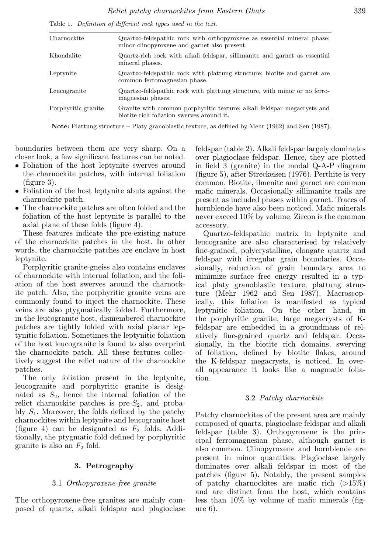Table 1. Definition of different rock types used in the text.

| Charnockite         | Quartzo-feldspathic rock with orthopyroxene as essential mineral phase;<br>minor clinopyroxene and garnet also present. |
|---------------------|-------------------------------------------------------------------------------------------------------------------------|
| Khondalite          | Quartz-rich rock with alkali feldspar, sillimanite and garnet as essential<br>mineral phases.                           |
| Leptynite           | Quartzo-feldspathic rock with plattung structure; biotite and garnet are<br>common ferromagnesian phase.                |
| Leucogranite        | Quartzo-feldspathic rock with plattung structure, with minor or no ferro-<br>magnesian phases.                          |
| Porphyritic granite | Granite with common porphyritic texture; alkali feldspar megacrysts and<br>biotite rich foliation swerves around it.    |

Note: Plattung structure – Platy granoblastic texture, as defined by Mehr (1962) and Sen (1987).

boundaries between them are very sharp. On a closer look, a few significant features can be noted.

- Foliation of the host leptynite swerves around the charnockite patches, with internal foliation (figure 3).
- Foliation of the host leptynite abuts against the charnockite patch.
- The charnockite patches are often folded and the foliation of the host leptynite is parallel to the axial plane of these folds (figure 4).

These features indicate the pre-existing nature of the charnockite patches in the host. In other words, the charnockite patches are enclave in host leptynite.

Porphyritic granite-gneiss also contains enclaves of charnockite with internal foliation, and the foliation of the host swerves around the charnockite patch. Also, the porphyritic granite veins are commonly found to inject the charnockite. These veins are also ptygmatically folded. Furthermore, in the leucogranite host, dismembered charnockite patches are tightly folded with axial planar leptynitic foliation. Sometimes the leptynitic foliation of the host leucogranite is found to also overprint the charnockite patch. All these features collectively suggest the relict nature of the charnockite patches.

The only foliation present in the leptynite, leucogranite and porphyritic granite is designated as  $S_2$ , hence the internal foliation of the relict charnockite patches is pre- $S_2$ , and probably  $S_1$ . Moreover, the folds defined by the patchy charnockites within leptynite and leucogranite host (figure 4) can be designated as  $F_2$  folds. Additionally, the ptygmatic fold defined by porphyritic granite is also an  $F_2$  fold.

#### 3. Petrography

#### 3.1 *Orthopyroxene-free granite*

The orthopyroxene-free granites are mainly composed of quartz, alkali feldspar and plagioclase feldspar (table 2). Alkali feldspar largely dominates over plagioclase feldspar. Hence, they are plotted in field 3 (granite) in the modal Q-A-P diagram (figure 5), after Streckeisen (1976). Perthite is very common. Biotite, ilmenite and garnet are common mafic minerals. Occasionally sillimanite trails are present as included phases within garnet. Traces of hornblende have also been noticed. Mafic minerals never exceed 10% by volume. Zircon is the common accessory.

Quartzo-feldspathic matrix in leptynite and leucogranite are also characterised by relatively fine-grained, polycrystalline, elongate quartz and feldspar with irregular grain boundaries. Occasionally, reduction of grain boundary area to minimize surface free energy resulted in a typical platy granoblastic texture, plattung structure (Mehr 1962 and Sen 1987). Macroscopically, this foliation is manifested as typical leptynitic foliation. On the other hand, in the porphyritic granite, large megacrysts of Kfeldspar are embedded in a groundmass of relatively fine-grained quartz and feldspar. Occasionally, in the biotite rich domains, swerving of foliation, defined by biotite flakes, around the K-feldspar megacrysts, is noticed. In overall appearance it looks like a magmatic foliation.

#### 3.2 *Patchy charnockite*

Patchy charnockites of the present area are mainly composed of quartz, plagioclase feldspar and alkali feldspar (table 3). Orthopyroxene is the principal ferromagnesian phase, although garnet is also common. Clinopyroxene and hornblende are present in minor quantities. Plagioclase largely dominates over alkali feldspar in most of the patches (figure 5). Notably, the present samples of patchy charnockites are mafic rich (>15%) and are distinct from the host, which contains less than 10% by volume of mafic minerals (figure 6).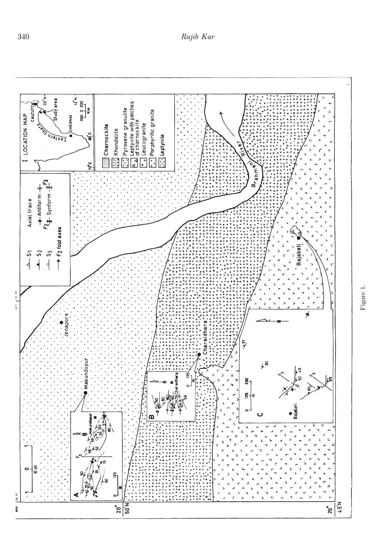

Figure 1.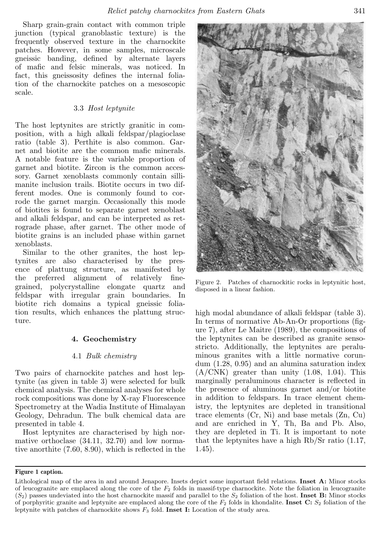Sharp grain-grain contact with common triple junction (typical granoblastic texture) is the frequently observed texture in the charnockite patches. However, in some samples, microscale gneissic banding, defined by alternate layers of mafic and felsic minerals, was noticed. In fact, this gneissosity defines the internal foliation of the charnockite patches on a mesoscopic scale.

## 3.3 *Host leptynite*

The host leptynites are strictly granitic in composition, with a high alkali feldspar/plagioclase ratio (table 3). Perthite is also common. Garnet and biotite are the common mafic minerals. A notable feature is the variable proportion of garnet and biotite. Zircon is the common accessory. Garnet xenoblasts commonly contain sillimanite inclusion trails. Biotite occurs in two different modes. One is commonly found to corrode the garnet margin. Occasionally this mode of biotites is found to separate garnet xenoblast and alkali feldspar, and can be interpreted as retrograde phase, after garnet. The other mode of biotite grains is an included phase within garnet xenoblasts.

Similar to the other granites, the host leptynites are also characterised by the presence of plattung structure, as manifested by the preferred alignment of relatively finegrained, polycrystalline elongate quartz and feldspar with irregular grain boundaries. In biotite rich domains a typical gneissic foliation results, which enhances the plattung structure.

# 4. Geochemistry

#### 4.1 *Bulk chemistry*

Two pairs of charnockite patches and host leptynite (as given in table 3) were selected for bulk chemical analysis. The chemical analyses for whole rock compositions was done by X-ray Fluorescence Spectrometry at the Wadia Institute of Himalayan Geology, Dehradun. The bulk chemical data are presented in table 4.

Host leptynites are characterised by high normative orthoclase (34.11, 32.70) and low normative anorthite (7.60, 8.90), which is reflected in the



Figure 2. Patches of charnockitic rocks in leptynitic host, disposed in a linear fashion.

high modal abundance of alkali feldspar (table 3). In terms of normative Ab-An-Or proportions (figure 7), after Le Maitre (1989), the compositions of the leptynites can be described as granite sensostricto. Additionally, the leptynites are peraluminous granites with a little normative corundum (1.28, 0.95) and an alumina saturation index  $(A/CNK)$  greater than unity  $(1.08, 1.04)$ . This marginally peraluminous character is reflected in the presence of aluminous garnet and/or biotite in addition to feldspars. In trace element chemistry, the leptynites are depleted in transitional trace elements (Cr, Ni) and base metals (Zn, Cu) and are enriched in Y, Th, Ba and Pb. Also, they are depleted in Ti. It is important to note that the leptynites have a high Rb/Sr ratio (1.17, 1.45).

#### Figure 1 caption.

Lithological map of the area in and around Jenapore. Insets depict some important field relations. Inset A: Minor stocks of leucogranite are emplaced along the core of the  $F_2$  folds in massif-type charnockite. Note the foliation in leucogranite  $(S_2)$  passes undeviated into the host charnockite massif and parallel to the  $S_2$  foliation of the host. Inset B: Minor stocks of porphyritic granite and leptynite are emplaced along the core of the  $F_2$  folds in khondalite. Inset C:  $S_2$  foliation of the leptynite with patches of charnockite shows  $F_3$  fold. Inset I: Location of the study area.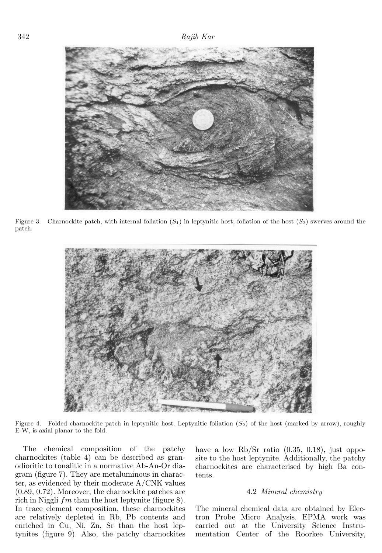

Figure 3. Charnockite patch, with internal foliation  $(S_1)$  in leptynitic host; foliation of the host  $(S_2)$  swerves around the patch.



Figure 4. Folded charnockite patch in leptynitic host. Leptynitic foliation  $(S_2)$  of the host (marked by arrow), roughly E-W, is axial planar to the fold.

The chemical composition of the patchy charnockites (table 4) can be described as granodioritic to tonalitic in a normative Ab-An-Or diagram (figure 7). They are metaluminous in character, as evidenced by their moderate A/CNK values (0.89, 0.72). Moreover, the charnockite patches are rich in Niggli  $fm$  than the host leptynite (figure 8). In trace element composition, these charnockites are relatively depleted in Rb, Pb contents and enriched in Cu, Ni, Zn, Sr than the host leptynites (figure 9). Also, the patchy charnockites

have a low Rb/Sr ratio  $(0.35, 0.18)$ , just opposite to the host leptynite. Additionally, the patchy charnockites are characterised by high Ba contents.

#### 4.2 *Mineral chemistry*

The mineral chemical data are obtained by Electron Probe Micro Analysis. EPMA work was carried out at the University Science Instrumentation Center of the Roorkee University,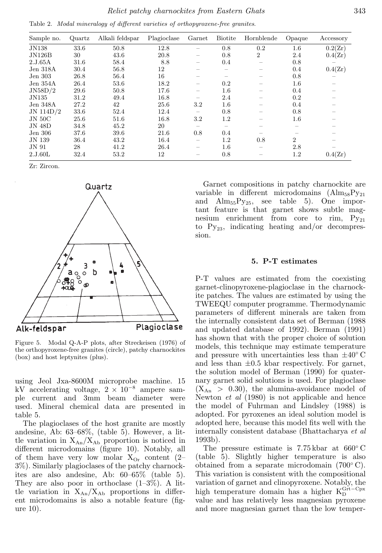|  |  |  |  |  |  | Table 2. Modal mineralogy of different varieties of orthopyroxene-free granites. |  |
|--|--|--|--|--|--|----------------------------------------------------------------------------------|--|
|--|--|--|--|--|--|----------------------------------------------------------------------------------|--|

| Sample no.    | Quartz | Alkali feldspar | Plagioclase | Garnet            | <b>Biotite</b> | Hornblende     | Opaque         | Accessory |
|---------------|--------|-----------------|-------------|-------------------|----------------|----------------|----------------|-----------|
| <b>JN138</b>  | 33.6   | 50.8            | 12.8        |                   | 0.8            | 0.2            | $1.6\,$        | 0.2(Zr)   |
| JN126B        | 30     | 43.6            | 20.8        | -                 | 0.8            | $\overline{2}$ | 2.4            | 0.4(Zr)   |
| 2.J.65A       | 31.6   | 58.4            | 8.8         | -                 | 0.4            |                | 0.8            |           |
| Jen 318A      | 30.4   | 56.8            | 12          |                   | —              |                | 0.4            | 0.4(Zr)   |
| Jen 303       | 26.8   | 56.4            | 16          |                   |                |                | 0.8            |           |
| Jen $354A$    | 26.4   | 53.6            | 18.2        |                   | 0.2            |                | $1.6\,$        |           |
| JN58D/2       | 29.6   | 50.8            | 17.6        |                   | $1.6\,$        |                | 0.4            |           |
| JN135         | 31.2   | 49.4            | 16.8        |                   | 2.4            |                | 0.2            |           |
| Jen 348A      | 27.2   | 42              | 25.6        | 3.2               | $1.6\,$        |                | 0.4            |           |
| JN 114D/2     | 33.6   | 52.4            | 12.4        | $\qquad \qquad -$ | 0.8            |                | 0.8            |           |
| <b>JN 50C</b> | 25.6   | 51.6            | 16.8        | $3.2\,$           | 1.2            |                | $1.6\,$        |           |
| <b>JN 48D</b> | 34.8   | 45.2            | 20          |                   | -              |                |                |           |
| Jen 306       | 37.6   | 39.6            | 21.6        | 0.8               | 0.4            |                |                |           |
| JN 139        | 36.4   | 43.2            | 16.4        |                   | 1.2            | 0.8            | $\overline{2}$ |           |
| JN 91         | 28     | 41.2            | 26.4        |                   | $1.6\,$        |                | 2.8            |           |
| 2.J.60L       | 32.4   | 53.2            | 12          |                   | 0.8            |                | 1.2            | 0.4(Zr)   |

Zr: Zircon.



Figure 5. Modal Q-A-P plots, after Streckeisen (1976) of the orthopyroxene-free granites (circle), patchy charnockites (box) and host leptynites (plus).

using Jeol Jxa-8600M microprobe machine. 15 kV accelerating voltage,  $2 \times 10^{-8}$  ampere sample current and 3mm beam diameter were used. Mineral chemical data are presented in table 5.

The plagioclases of the host granite are mostly andesine, Ab: 63–68%, (table 5). However, a little variation in  $X_{An}/X_{Ab}$  proportion is noticed in different microdomains (figure 10). Notably, all of them have very low molar  $X_{\text{Or}}$  content (2– 3%). Similarly plagioclases of the patchy charnockites are also andesine, Ab: 60–65% (table 5). They are also poor in orthoclase  $(1-3\%)$ . A little variation in  $X_{An}/X_{Ab}$  proportions in different microdomains is also a notable feature (figure 10).

Garnet compositions in patchy charnockite are variable in different microdomains  $(AIm_{58}Py_{21})$ and  $\text{Alm}_{55} \text{Py}_{25}$ , see table 5). One important feature is that garnet shows subtle magnesium enrichment from core to rim,  $Py_{21}$ to  $Py_{23}$ , indicating heating and/or decompression.

#### 5. P-T estimates

P-T values are estimated from the coexisting garnet-clinopyroxene-plagioclase in the charnockite patches. The values are estimated by using the TWEEQU computer programme. Thermodynamic parameters of different minerals are taken from the internally consistent data set of Berman (1988 and updated database of 1992). Berman (1991) has shown that with the proper choice of solution models, this technique may estimate temperature and pressure with uncertainties less than  $\pm 40^{\circ}$  C and less than  $\pm 0.5$  kbar respectively. For garnet, the solution model of Berman (1990) for quaternary garnet solid solutions is used. For plagioclase  $(X_{An} > 0.30)$ , the alumina-avoidance model of Newton *et al* (1980) is not applicable and hence the model of Fuhrman and Lindsley (1988) is adopted. For pyroxenes an ideal solution model is adopted here, because this model fits well with the internally consistent database (Bhattacharya *et al* 1993b).

The pressure estimate is 7.75 kbar at 660◦ C (table 5). Slightly higher temperature is also obtained from a separate microdomain (700◦ C). This variation is consistent with the compositional variation of garnet and clinopyroxene. Notably, the high temperature domain has a higher  $K_D^{Grt-Cpx}$ value and has relatively less magnesian pyroxene and more magnesian garnet than the low temper-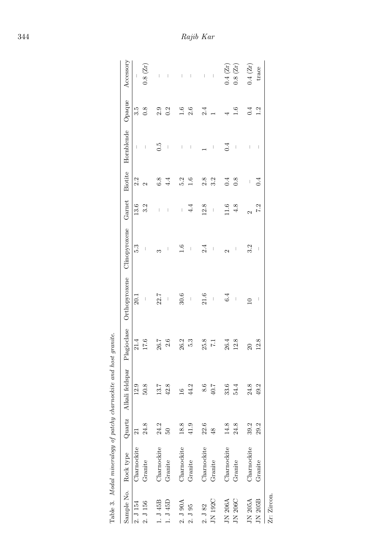|                       | Table 3. Modal mineralogy of patchy charnockite o |      |                        | and host granite.   |                                                                          |                                |                   |         |                                |                                           |                     |
|-----------------------|---------------------------------------------------|------|------------------------|---------------------|--------------------------------------------------------------------------|--------------------------------|-------------------|---------|--------------------------------|-------------------------------------------|---------------------|
|                       | Sample No. Rock type                              |      | Quartz Alkali feldspar |                     | Plagioclase Orthopyroxene Clinopyroxene Garnet Biotite Hornblende Opaque |                                |                   |         |                                |                                           | Accessory           |
| 2. J 154              | Charnockite                                       | 21   | 12.9                   | 21.4                | 20.1                                                                     | 5.3                            | 13.6              | 2.2     | $\lvert$                       | 3.5                                       | $\frac{1}{2}$       |
| 2. J 156              | Granite                                           | 24.8 | 50.8                   | 17.6                |                                                                          | $\mid$                         | 3.2               |         | $\mathcal{A}$                  | $\frac{8}{2}$                             | $0.8~(Zr)$          |
| $1.\,\,J$ 45B         | Charnockite                                       | 24.2 | 13.7                   | 26.7                | 22.7                                                                     | S                              | $\, \vert \,$     | 6.8     | 0.5                            | 2.9                                       | $\vert$             |
| $1.$ J $45\mathrm{D}$ | Granite                                           | 50   | 42.8                   | 2.6                 | $\mid$                                                                   | $\mid$                         | $\sim 1$          | 4.4     | $\vert$                        | 0.2                                       | $\sim$ 1            |
| 2. J 90A              | Charnockite                                       | 18.8 | $\frac{6}{1}$          | $26.2\,$            | 30.6                                                                     | 1.6                            | $\sim 1$          | 5.2     | $\vert$                        |                                           | $\sim 1$            |
| 2. J95                | Granite                                           | 41.9 | 44.2                   | 5.3                 | $\overline{\phantom{a}}$                                                 | $\mid$                         | 4.4               | 1.6     | $\mid$                         | $\begin{array}{c} 1.6 \\ 2.6 \end{array}$ | $\sim 1$            |
| $2.\,\sqrt{3}\,82$    | Charnockite                                       | 22.6 | $\bf 8.6$              | $25.8\,$            | $21.6\,$                                                                 | 2.4                            | 12.8              | 2.8     |                                | 2.4                                       | $\perp$             |
| JN 192C               | Granite                                           | 48   | 40.7                   | $\overline{5}$      | $\bar{1}$                                                                | $\begin{array}{c} \end{array}$ | $\mid$            | 3.2     | $\vert$                        |                                           | $\sim 1$            |
| JN 206A               | Charnockite                                       | 14.8 | 33.6                   | $26.4\,$            | 6.4                                                                      | $\mathbf{\Omega}$              | 11.6              |         | 0.4                            |                                           | 0.4~(Zr)            |
| JN 206C               | Granite                                           | 24.8 | 54.4                   | 12.8                | $\overline{\phantom{a}}$                                                 | $\mathsf I$                    | 4.8               | 0.8     | $\overline{\phantom{a}}$       | $\frac{6}{1}$                             | $0.8~(\mathrm{Zr})$ |
| JN 205A               | Charnockite                                       | 39.2 | 24.8                   | $\overline{\Omega}$ | $\subseteq$                                                              | 3.2                            | $\mathbf{\Omega}$ | $\vert$ | $\begin{array}{c} \end{array}$ | 0.4                                       | 0.4 (Zr)            |
| $JN$ 205 $B$          | Granite                                           | 29.2 | 49.2                   | 12.8                | J                                                                        | $\begin{array}{c} \end{array}$ | 7.2               | 0.4     | $\overline{\phantom{a}}$       | 1.2                                       | trace               |
| Zr: Zircon.           |                                                   |      |                        |                     |                                                                          |                                |                   |         |                                |                                           |                     |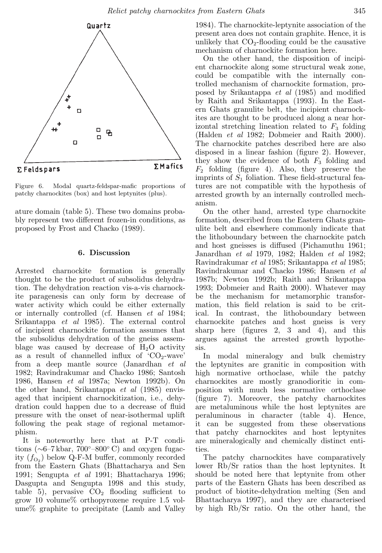

Figure 6. Modal quartz-feldspar-mafic proportions of patchy charnockites (box) and host leptynites (plus).

ature domain (table 5). These two domains probably represent two different frozen-in conditions, as proposed by Frost and Chacko (1989).

# 6. Discussion

Arrested charnockite formation is generally thought to be the product of subsolidus dehydration. The dehydration reaction vis-a-vis charnockite paragenesis can only form by decrease of water activity which could be either externally or internally controlled (cf. Hansen *et al* 1984; Srikantappa *et al* 1985). The external control of incipient charnockite formation assumes that the subsolidus dehydration of the gneiss assemblage was caused by decrease of  $H_2O$  activity as a result of channelled influx of  $CO<sub>2</sub>$ -wave' from a deep mantle source (Janardhan *et al* 1982; Ravindrakumar and Chacko 1986; Santosh 1986, Hansen *et al* 1987a; Newton 1992b). On the other hand, Srikantappa *et al* (1985) envisaged that incipient charnockitization, i.e., dehydration could happen due to a decrease of fluid pressure with the onset of near-isothermal uplift following the peak stage of regional metamorphism.

It is noteworthy here that at P-T conditions ( $\sim$ 6–7 kbar, 700°–800° C) and oxygen fugacity  $(f_{\text{O}_2})$  below Q-F-M buffer, commonly recorded from the Eastern Ghats (Bhattacharya and Sen 1991; Sengupta *et al* 1991; Bhattacharya 1996; Dasgupta and Sengupta 1998 and this study, table 5), pervasive  $CO<sub>2</sub>$  flooding sufficient to grow 10 volume% orthopyroxene require 1.5 volume% graphite to precipitate (Lamb and Valley

1984). The charnockite-leptynite association of the present area does not contain graphite. Hence, it is unlikely that  $CO<sub>2</sub>$ -flooding could be the causative mechanism of charnockite formation here.

On the other hand, the disposition of incipient charnockite along some structural weak zone, could be compatible with the internally controlled mechanism of charnockite formation, proposed by Srikantappa *et al* (1985) and modified by Raith and Srikantappa (1993). In the Eastern Ghats granulite belt, the incipient charnockites are thought to be produced along a near horizontal stretching lineation related to  $F_3$  folding (Halden *et al* 1982; Dobmeier and Raith 2000). The charnockite patches described here are also disposed in a linear fashion (figure 2). However, they show the evidence of both  $F_3$  folding and  $F_2$  folding (figure 4). Also, they preserve the imprints of  $S_1$  foliation. These field-structural features are not compatible with the hypothesis of arrested growth by an internally controlled mechanism.

On the other hand, arrested type charnockite formation, described from the Eastern Ghats granulite belt and elsewhere commonly indicate that the lithoboundary between the charnockite patch and host gneisses is diffused (Pichamuthu 1961; Janardhan *et al* 1979, 1982; Halden *et al* 1982; Ravindrakumar *et al* 1985; Srikantappa *et al* 1985; Ravindrakumar and Chacko 1986; Hansen *et al* 1987b; Newton 1992b; Raith and Srikantappa 1993; Dobmeier and Raith 2000). Whatever may be the mechanism for metamorphic transformation, this field relation is said to be critical. In contrast, the lithoboundary between charnockite patches and host gneiss is very sharp here (figures 2, 3 and 4), and this argues against the arrested growth hypothesis.

In modal mineralogy and bulk chemistry the leptynites are granitic in composition with high normative orthoclase, while the patchy charnockites are mostly granodioritic in composition with much less normative orthoclase (figure 7). Moreover, the patchy charnockites are metaluminous while the host leptynites are peraluminous in character (table 4). Hence, it can be suggested from these observations that patchy charnockites and host leptynites are mineralogically and chemically distinct entities.

The patchy charnockites have comparatively lower Rb/Sr ratios than the host leptynites. It should be noted here that leptynite from other parts of the Eastern Ghats has been described as product of biotite-dehydration melting (Sen and Bhattacharya 1997), and they are characterised by high Rb/Sr ratio. On the other hand, the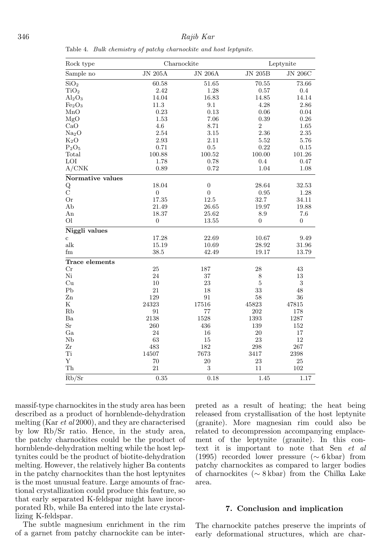| Rock type                      |                  | Charnockite      |                | Leptynite      |
|--------------------------------|------------------|------------------|----------------|----------------|
| Sample no                      | $JN$ 205A        | $JN$ 206A        | $JN$ 205B      | $JN$ 206 $C$   |
| SiO <sub>2</sub>               | 60.58            | 51.65            | 70.55          | 73.66          |
| TiO <sub>2</sub>               | 2.42             | 1.28             | 0.57           | $0.4\,$        |
| $Al_2O_3$                      | 14.04            | 16.83            | 14.85          | 14.14          |
| Fe <sub>2</sub> O <sub>3</sub> | 11.3             | 9.1              | 4.28           | $2.86\,$       |
| MnO                            | 0.23             | 0.13             | 0.06           | 0.04           |
| MgO                            | 1.53             | 7.06             | 0.39           | $0.26\,$       |
| CaO                            | 4.6              | 8.71             | 2              | 1.65           |
| Na <sub>2</sub> O              | 2.54             | $3.15\,$         | 2.36           | $2.35\,$       |
| $K_2O$                         | 2.93             | 2.11             | 5.52           | 5.76           |
| $P_2O_5$                       | 0.71             | 0.5              | 0.22           | 0.15           |
| Total                          | 100.88           | 100.52           | 100.00         | 101.26         |
| LOI                            | 1.78             | 0.78             | 0.4            | 0.47           |
| A/CNK                          | 0.89             | 0.72             | 1.04           | 1.08           |
| Normative values               |                  |                  |                |                |
| $_{\rm C}^{\rm Q}$             | 18.04            | $\boldsymbol{0}$ | 28.64          | 32.53          |
|                                | $\boldsymbol{0}$ | $\boldsymbol{0}$ | 0.95           | 1.28           |
| <b>Or</b>                      | 17.35            | 12.5             | 32.7           | 34.11          |
| Ab                             | 21.49            | 26.65            | 19.97          | 19.88          |
| An                             | 18.37            | 25.62            | 8.9            | 7.6            |
| O <sub>1</sub>                 | $\overline{0}$   | 13.55            | $\overline{0}$ | $\overline{0}$ |
| Niggli values                  |                  |                  |                |                |
| $\mathbf{c}$                   | 17.28            | 22.69            | 10.67          | 9.49           |
| alk                            | 15.19            | 10.69            | 28.92          | 31.96          |
| fm                             | 38.5             | 42.49            | 19.17          | 13.79          |
| Trace elements                 |                  |                  |                |                |
| $_{\rm Cr}$                    | 25               | 187              | 28             | 43             |
| Ni                             | 24               | 37               | $\,8\,$        | 13             |
| Cu                             | 10               | 23               | $\bf 5$        | $\,3$          |
| P <sub>b</sub>                 | 21               | 18               | 33             | 48             |
| $_{\rm Zn}$                    | 129              | $\rm 91$         | 58             | 36             |
| Κ                              | 24323            | 17516            | 45823          | 47815          |
| Rb                             | 91               | 77               | 202            | 178            |
| Ba                             | 2138             | 1528             | 1393           | 1287           |
| Sr                             | 260              | 436              | 139            | 152            |
| Ga                             | 24               | 16               | 20             | 17             |
| Nb                             | 63               | 15               | 23             | 12             |
| Zr                             | 483              | 182              | 298            | 267            |
| Ti                             | 14507            | 7673             | 3417           | 2398           |
| Υ                              | 70               | $20\,$           | 23             | $25\,$         |
| Th                             | 21               | $\sqrt{3}$       | 11             | 102            |
| Rb/Sr                          | 0.35             | 0.18             | 1.45           | 1.17           |

massif-type charnockites in the study area has been described as a product of hornblende-dehydration melting (Kar *et al* 2000), and they are characterised by low Rb/Sr ratio. Hence, in the study area, the patchy charnockites could be the product of hornblende-dehydration melting while the host leptynites could be the product of biotite-dehydration melting. However, the relatively higher Ba contents in the patchy charnockites than the host leptynites is the most unusual feature. Large amounts of fractional crystallization could produce this feature, so that early separated K-feldspar might have incorporated Rb, while Ba entered into the late crystallizing K-feldspar.

The subtle magnesium enrichment in the rim of a garnet from patchy charnockite can be interpreted as a result of heating; the heat being released from crystallisation of the host leptynite (granite). More magnesian rim could also be related to decompression accompanying emplacement of the leptynite (granite). In this context it is important to note that Sen *et al* (1995) recorded lower pressure (∼ 6 kbar) from patchy charnockites as compared to larger bodies of charnockites (∼ 8 kbar) from the Chilka Lake area.

## 7. Conclusion and implication

The charnockite patches preserve the imprints of early deformational structures, which are char-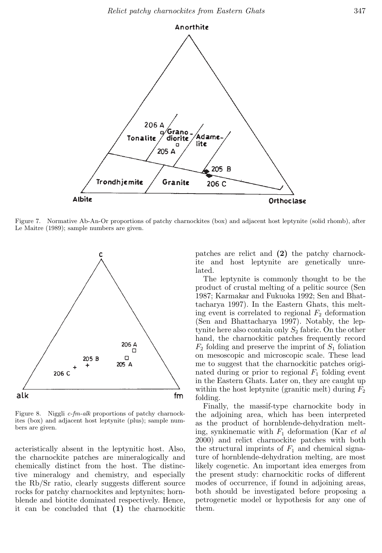

Figure 7. Normative Ab-An-Or proportions of patchy charnockites (box) and adjacent host leptynite (solid rhomb), after Le Maitre (1989); sample numbers are given.



Figure 8. Niggli c-fm-alk proportions of patchy charnockites (box) and adjacent host leptynite (plus); sample numbers are given.

acteristically absent in the leptynitic host. Also, the charnockite patches are mineralogically and chemically distinct from the host. The distinctive mineralogy and chemistry, and especially the Rb/Sr ratio, clearly suggests different source rocks for patchy charnockites and leptynites; hornblende and biotite dominated respectively. Hence, it can be concluded that (1) the charnockitic patches are relict and (2) the patchy charnockite and host leptynite are genetically unrelated.

The leptynite is commonly thought to be the product of crustal melting of a pelitic source (Sen 1987; Karmakar and Fukuoka 1992; Sen and Bhattacharya 1997). In the Eastern Ghats, this melting event is correlated to regional  $F_2$  deformation (Sen and Bhattacharya 1997). Notably, the leptynite here also contain only  $S_2$  fabric. On the other hand, the charnockitic patches frequently record  $F_2$  folding and preserve the imprint of  $S_1$  foliation on mesoscopic and microscopic scale. These lead me to suggest that the charnockitic patches originated during or prior to regional  $F_1$  folding event in the Eastern Ghats. Later on, they are caught up within the host leptynite (granitic melt) during  $F_2$ folding.

Finally, the massif-type charnockite body in the adjoining area, which has been interpreted as the product of hornblende-dehydration melting, synkinematic with F<sup>1</sup> deformation (Kar *et al* 2000) and relict charnockite patches with both the structural imprints of  $F_1$  and chemical signature of hornblende-dehydration melting, are most likely cogenetic. An important idea emerges from the present study: charnockitic rocks of different modes of occurrence, if found in adjoining areas, both should be investigated before proposing a petrogenetic model or hypothesis for any one of them.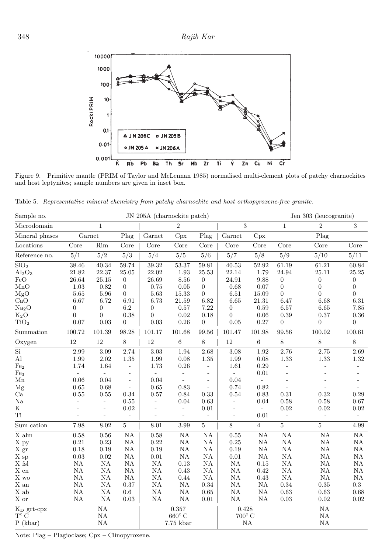

Figure 9. Primitive mantle (PRIM of Taylor and McLennan 1985) normalised multi-element plots of patchy charnockites and host leptynites; sample numbers are given in inset box.

Table 5. Representative mineral chemistry from patchy charnockite and host orthopyroxene-free granite.

| Sample no.              |                            |                          |                          |                          | JN 205A (charnockite patch) |                          |                          |                |                    | Jen 303 (leucogranite) |                          |
|-------------------------|----------------------------|--------------------------|--------------------------|--------------------------|-----------------------------|--------------------------|--------------------------|----------------|--------------------|------------------------|--------------------------|
| Microdomain             |                            | $\mathbf{1}$             |                          |                          | $\overline{2}$              |                          |                          | 3              | $\mathbf{1}$       | $\overline{2}$         | 3                        |
| Mineral phases          |                            | Garnet                   | Plag                     | Garnet                   | Cpx                         | Plag                     | Garnet                   | Cpx            |                    | Plag                   |                          |
| Locations               | Core                       | Rim                      | Core                     | Core                     | Core                        | Core                     | Core                     | Core           | Core               | Core                   | Core                     |
| Reference no.           | 5/1                        | 5/2                      | 5/3                      | 5/4                      | 5/5                         | 5/6                      | 5/7                      | 5/8            | 5/9                | 5/10                   | 5/11                     |
| SiO <sub>2</sub>        | 38.46                      | 40.34                    | 59.74                    | 39.32                    | 53.37                       | 59.81                    | $40.53\,$                | 52.92          | 61.19              | 61.21                  | $60.84\,$                |
| $Al_2O_3$               | $21.82\,$                  | 22.37                    | 25.05                    | 22.02                    | 1.93                        | $25.53\,$                | 22.14                    | 1.79           | $24.94\,$          | $25.11\,$              | $25.25\,$                |
| FeO                     | 26.64                      | 25.15                    | $\overline{0}$           | 26.69                    | 8.56                        | $\boldsymbol{0}$         | 24.91                    | 9.88           | $\boldsymbol{0}$   | $\boldsymbol{0}$       | $\boldsymbol{0}$         |
| MnO                     | $1.03\,$                   | 0.82                     | $\boldsymbol{0}$         | 0.75                     | $0.05\,$                    | $\boldsymbol{0}$         | $\rm 0.68$               | 0.07           | $\boldsymbol{0}$   | $\boldsymbol{0}$       | $\boldsymbol{0}$         |
| MgO                     | 5.65                       | 5.96                     | $\overline{0}$           | 5.63                     | 15.33                       | $\overline{0}$           | 6.51                     | 15.09          | $\overline{0}$     | $\overline{0}$         | $\overline{0}$           |
| $\overline{\text{CaO}}$ | 6.67                       | 6.72                     | 6.91                     | 6.73                     | 21.59                       | 6.82                     | 6.65                     | 21.31          | 6.47               | 6.68                   | $6.31\,$                 |
| Na <sub>2</sub> O       | $\overline{0}$             | $\overline{0}$           | 6.2                      | $\overline{0}$           | 0.57                        | 7.22                     | $\boldsymbol{0}$         | 0.59           | 6.57               | 6.65                   | $7.85\,$                 |
| $K_2O$                  | $\overline{0}$             | $\overline{0}$           | 0.38                     | $\overline{0}$           | 0.02                        | 0.18                     | $\overline{0}$           | 0.06           | 0.39               | 0.37                   | $0.36\,$                 |
| TiO <sub>2</sub>        | 0.07                       | $\rm 0.03$               | $\boldsymbol{0}$         | $\rm 0.03$               | 0.26                        | $\boldsymbol{0}$         | 0.05                     | 0.27           | $\theta$           | $\boldsymbol{0}$       | $\boldsymbol{0}$         |
| Summation               | 100.72                     | 101.39                   | 98.28                    | 101.17                   | 101.68                      | 99.56                    | 101.47                   | 101.98         | $\overline{99.56}$ | 100.02                 | 100.61                   |
| Oxygen                  | $\overline{1}\overline{2}$ | $\overline{12}$          | $\,8\,$                  | $\overline{12}$          | $\overline{6}$              | $8\,$                    | $\overline{12}$          | $\overline{6}$ | $\overline{8}$     | $\overline{8}$         | $\overline{8}$           |
| Si                      | 2.99                       | 3.09                     | 2.74                     | 3.03                     | 1.94                        | 2.68                     | 3.08                     | 1.92           | 2.76               | 2.75                   | $2.69\,$                 |
| $\rm Al$                | 1.99                       | $2.02\,$                 | $1.35\,$                 | 1.99                     | 0.08                        | 1.35                     | 1.99                     | 0.08           | 1.33               | 1.33                   | $1.32\,$                 |
| Fe <sub>2</sub>         | 1.74                       | 1.64                     | $\bar{\phantom{a}}$      | 1.73                     | 0.26                        | $\omega$                 | 1.61                     | 0.29           | $\overline{a}$     | $\overline{a}$         | $\overline{\phantom{a}}$ |
| Fe <sub>3</sub>         | $\equiv$                   | $\equiv$                 | $\overline{\phantom{a}}$ | $\bar{a}$                | $\overline{\phantom{a}}$    | $\blacksquare$           | $\sim$                   | $0.01\,$       |                    |                        |                          |
| ${\rm Mn}$              | 0.06                       | 0.04                     | $\blacksquare$           | 0.04                     |                             | $\overline{\phantom{a}}$ | 0.04                     | ÷,             |                    |                        |                          |
| Mg                      | 0.65                       | 0.68                     | $\equiv$                 | $0.65\,$                 | 0.83                        | $\bar{\phantom{a}}$      | 0.74                     | 0.82           |                    |                        |                          |
| $\rm Ca$                | 0.55                       | $0.55\,$                 | $0.34\,$                 | $0.57\,$                 | $0.84\,$                    | $0.33\,$                 | $0.54\,$                 | $\rm 0.83$     | 0.31               | 0.32                   | 0.29                     |
| $_{\rm Na}$             |                            | ÷,                       | 0.55                     | $\overline{\phantom{a}}$ | 0.04                        | 0.63                     | $\overline{\phantom{a}}$ | 0.04           | 0.58               | 0.58                   | 0.67                     |
| ${\bf K}$               |                            | $\overline{\phantom{a}}$ | 0.02                     | $\overline{a}$           | ÷,                          | 0.01                     | $\overline{\phantom{a}}$ | $\blacksquare$ | 0.02               | 0.02                   | $\rm 0.02$               |
| Ti                      |                            | ÷,                       | $\bar{a}$                | $\overline{\phantom{a}}$ |                             | $\blacksquare$           | $\overline{\phantom{a}}$ | 0.01           | $\equiv$           | $\Box$                 | $\blacksquare$           |
| Sum cation              | 7.98                       | 8.02                     | $\overline{5}$           | $8.01\,$                 | 3.99                        | $\bf 5$                  | $8\,$                    | $\overline{4}$ | $\bf 5$            | $\bf 5$                | 4.99                     |
| $X$ alm                 | 0.58                       | 0.56                     | NA                       | 0.58                     | $\mathrm{NA}$               | $\rm NA$                 | $0.55\,$                 | NA             | NA                 | NA                     | $\mathrm{NA}$            |
| X py                    | 0.21                       | 0.23                     | $\rm NA$                 | 0.22                     | ΝA                          | NA                       | 0.25                     | NA             | NA                 | $\mathrm{NA}$          | $_{\rm NA}$              |
| X gr                    | 0.18                       | 0.19                     | $_{\rm NA}$              | 0.19                     | $_{\rm NA}$                 | $_{\rm NA}$              | $0.19\,$                 | NA             | $\mathrm{NA}$      | $\mathrm{NA}$          | $\mathrm{NA}$            |
| X sp                    | 0.03                       | 0.02                     | $\rm NA$                 | $\rm 0.01$               | $\mathrm{NA}$               | $\mathrm{NA}$            | $\rm 0.01$               | NA             | NA                 | NA                     | $_{\rm NA}$              |
| X fsl                   | NA                         | $_{\rm NA}$              | NA                       | $\mathrm{NA}$            | 0.13                        | NA                       | $\mathrm{NA}$            | 0.15           | NA                 | NA                     | $_{\rm NA}$              |
| X en                    | $\mathrm{NA}$              | $_{\rm NA}$              | NA                       | $\mathrm{NA}$            | 0.43                        | NA                       | NA                       | 0.42           | NA                 | NA                     | $_{\rm NA}$              |
| X wo                    | $\mathrm{NA}$              | $\rm NA$                 | $\mathrm{NA}$            | $\mathrm{NA}$            | 0.44                        | NA                       | $\mathrm{NA}$            | 0.43           | NA                 | $\mathrm{NA}$          | $\mathrm{NA}$            |
| $\mathbf X$ an          | NA                         | $\mathrm{NA}$            | 0.37                     | $\mathrm{NA}$            | $\mathrm{NA}$               | 0.34                     | $\mathrm{NA}$            | NA             | $\rm 0.34$         | 0.35                   | $\rm 0.3$                |
| X ab                    | NA                         | NA                       | 0.6                      | NA                       | NA                          | 0.65                     | NA                       | NA             | 0.63               | 0.63                   | 0.68                     |
| X or                    | NA                         | $_{\rm NA}$              | 0.03                     | $\mathrm{NA}$            | $\mathrm{NA}$               | $0.01\,$                 | $\mathrm{NA}$            | NA             | $0.03\,$           | $\rm 0.02$             | $\rm 0.02$               |
| K <sub>D</sub> grt-cpx  |                            | $\mathrm{NA}$            |                          |                          | 0.357                       |                          | 0.428                    |                |                    | $\mathrm{NA}$          |                          |
| $T^{\circ}$ C           |                            | $_{\rm NA}$              |                          |                          | $660^{\circ}$ C             |                          | $700^\circ$ C            |                |                    | $_{\rm NA}$            |                          |
| $P$ (kbar)              |                            | $\mathrm{NA}$            |                          |                          | 7.75 kbar                   |                          |                          | $_{\rm NA}$    |                    | $\mathrm{NA}$          |                          |
|                         |                            |                          |                          |                          |                             |                          |                          |                |                    |                        |                          |

Note: Plag – Plagioclase; Cpx – Clinopyroxene.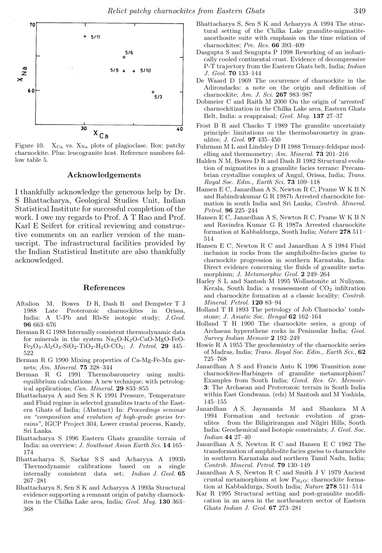

Figure 10.  $X_{Ca}$  vs.  $X_{Na}$  plots of plagioclase. Box: patchy charnockite. Plus: leucogranite host. Reference numbers follow table 5.

#### Acknowledgements

I thankfully acknowledge the generous help by Dr. S Bhattacharya, Geological Studies Unit, Indian Statistical Institute for successful completion of the work. I owe my regards to Prof. A T Rao and Prof. Karl E Seifert for critical reviewing and constructive comments on an earlier version of the manuscript. The infrastructural facilities provided by the Indian Statistical Institute are also thankfully acknowledged.

## References

- Aftalion M, Bowes D R, Dash B and Dempster T J 1988 Late Proterozoic charnockites in Orissa, India: A U-Pb and Rb-Sr isotopic study; J.Geol. 96 663–676
- Berman R G 1988 Internally consistent thermodynamic data for minerals in the system  $Na<sub>2</sub>O-K<sub>2</sub>O-CaO-MgO-FeO Fe<sub>2</sub>O<sub>3</sub>$ -Al<sub>2</sub>O<sub>3</sub>-SiO<sub>2</sub>-TiO<sub>2</sub>-H<sub>2</sub>O-CO<sub>2</sub>; *J. Petrol.* **29** 445– 522
- Berman R G 1990 Mixing properties of Ca-Mg-Fe-Mn garnets; Am. Mineral. 75 328–344
- Berman R G 1991 Thermobarometry using multiequilibrium calculations: A new technique, with petrological applications; Can. Mineral. 29 833–855
- Bhattacharya A and Sen S K 1991 Pressure, Temperature and Fluid regime in selected granulites tracts of the Eastern Ghats of India; (Abstract) In: Proceedings seminar on "composition and evolution of high-grade gneiss terrains", IGCP Project 304, Lower crustal process, Kandy, Sri Lanka.
- Bhattacharya S 1996 Eastern Ghats granulite terrain of India: an overview; J. Southeast Asian Earth Sci. 14 165– 174
- Bhattacharya S, Sarkar S S and Acharyya A 1993b Thermodynamic calibrations based on a single internally consistent data set; Indian J. Geol. 65 267–281
- Bhattacharya S, Sen S K and Acharyya A 1993a Structural evidence supporting a remnant origin of patchy charnockites in the Chilka Lake area, India; Geol. Mag. 130 363– 368
- Bhattacharya S, Sen S K and Acharyya A 1994 The structural setting of the Chilka Lake granulite-migmatiteanorthosite suite with emphasis on the time relation of charnockites; Pre. Res. 66 393–409
- Dasgupta S and Sengupta P 1998 Reworking of an isobarically cooled continental crust. Evidence of decompressive P-T trajectory from the Eastern Ghats belt, India; Indian J. Geol. 70 133–144
- De Waard D 1969 The occurrence of charnockite in the Adirondacks: a note on the origin and definition of charnockite; Am. J. Sci. 267 983–987
- Dobmeier C and Raith M 2000 On the origin of 'arrested' charnockitization in the Chilka Lake area, Eastern Ghats Belt, India: a reappraisal; Geol. Mag. 137 27–37
- Frost B R and Chacko T 1989 The granulite uncertainty principle: limitations on the thermobarometry in granulites; J. Geol. 97 435–450
- Fuhrman M L and Lindsley D H 1988 Ternary-feldspar modelling and thermometry; Am. Mineral. 73 201–216
- Halden N M, Bowes D R and Dash B 1982 Structural evolution of migmatites in a granulite facies terrane: Precambrian crystalline complex of Angul, Orissa, India; Trans. Royal Soc. Edin., Earth Sci. 73 109–118
- Hansen E C, Janardhan A S, Newton R C, Prame W K B N and Rabindrakumar G R 1987b Arrested charnockite formation in south India and Sri Lanka; Contrib. Mineral. Petrol. 96 225–244
- Hansen E C, Janardhan A S, Newton R C, Prame W K B N and Ravindra Kumar G R 1987a Arrested charnockite formation at Kabbaldurga, South India; Nature 278 511– 514
- Hansen E C, Newton R C and Janardhan A S 1984 Fluid inclusion in rocks from the amphibolite-facies gneiss to charnockite progression in southern Karnataka, India: Direct evidence concerning the fluids of granulite metamorphism; J. Metamorphic Geol. 2 249–264
- Harley S L and Santosh M 1995 Wollastonite at Nuliyam, Kerala, South India: a reassessment of  $CO<sub>2</sub>$  infiltration and charnockite formation at a classic locality; Contrib. Mineral. Petrol. 120 83–94
- Holland T H 1893 The petrology of Job Charnocks' tombstone; J. Asiatic Soc. Bengal 62 162–164
- Holland T H 1900 The charnockite series, a group of Archaean hypersthene rocks in Peninsular India; Geol. Survey Indian Memoir 2 192–249
- Howie R A 1955 The geochemistry of the charnockite series of Madras, India; Trans. Royal Soc. Edin., Earth Sci., 62 725–768
- Janardhan A S and Francis Anto K 1996 Transition zone charnockites-Harbingers of granulite metamorphism? Examples from South India; Gond. Res. Gr. Memoir-3: The Archaean and Proterozoic terrain in South India within East Gondwana. (eds) M Santosh and M Yoshida,  $\begin{array}{c} 145–155 \\ \mathrm{Janardhan} \end{array}$
- A S, Jayananda M and Shankara M A 1994 Formation and tectonic evolution of granulites from the Biligirirangan and Nilgiri Hills, South India: Geochemical and Isotopic constraints; J. Geol. Soc. Indian 44 27–40
- Janardhan A S, Newton R C and Hansen E C 1982 The transformation of amphibolite facies gneiss to charnockite in southern Karnataka and northern Tamil Nadu, India; Contrib. Mineral. Petrol. 79 130–149
- Janardhan A S, Newton R C and Smith J V 1979 Ancient crustal metamorphism at low  $P_{H_2O}$ : charnockite formation at Kabbaldurga, South India; Nature 278 511–514
- Kar R 1995 Structural setting and post-granulite modification in an area in the northeastern sector of Eastern Ghats Indian J. Geol. 67 273–281